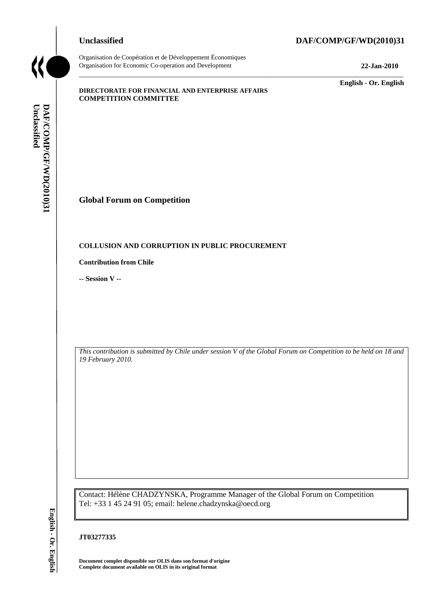# **Unclassified DAF/COMP/GF/WD(2010)31**



Organisation de Coopération et de Développement Économiques Organisation for Economic Co-operation and Development **22-Jan-2010**

\_\_\_\_\_\_\_\_\_\_\_\_\_ **English - Or. English**

#### **DIRECTORATE FOR FINANCIAL AND ENTERPRISE AFFAIRS COMPETITION COMMITTEE**

# **Global Forum on Competition**

# **COLLUSION AND CORRUPTION IN PUBLIC PROCUREMENT**

#### **Contribution from Chile**

**-- Session V --**

*This contribution is submitted by Chile under session V of the Global Forum on Competition to be held on 18 and 19 February 2010.*

\_\_\_\_\_\_\_\_\_\_\_\_\_\_\_\_\_\_\_\_\_\_\_\_\_\_\_\_\_\_\_\_\_\_\_\_\_\_\_\_\_\_\_\_\_\_\_\_\_\_\_\_\_\_\_\_\_\_\_\_\_\_\_\_\_\_\_\_\_\_\_\_\_\_\_\_\_\_\_\_\_\_\_\_\_\_\_\_\_\_\_

Contact: Hélène CHADZYNSKA, Programme Manager of the Global Forum on Competition Tel: +33 1 45 24 91 05; email: helene.chadzynska@oecd.org **COLLUSION AND CORRUPTION IN PUBL<br>
COLLUSION AND CORRUPTION IN PUBL<br>
Contribution from Chile<br>
-- Session V --<br>
This contribution is submitted by Chile under se<br>
This contribution is submitted by Chile under se<br>
The** *Comple* 

# **JT03277335**

**Document complet disponible sur OLIS dans son format d'origine**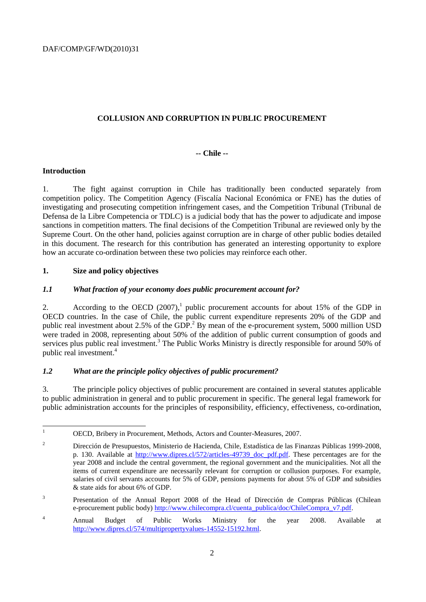# **COLLUSION AND CORRUPTION IN PUBLIC PROCUREMENT**

# **-- Chile --**

#### **Introduction**

1. The fight against corruption in Chile has traditionally been conducted separately from competition policy. The Competition Agency (Fiscalía Nacional Económica or FNE) has the duties of investigating and prosecuting competition infringement cases, and the Competition Tribunal (Tribunal de Defensa de la Libre Competencia or TDLC) is a judicial body that has the power to adjudicate and impose sanctions in competition matters. The final decisions of the Competition Tribunal are reviewed only by the Supreme Court. On the other hand, policies against corruption are in charge of other public bodies detailed in this document. The research for this contribution has generated an interesting opportunity to explore how an accurate co-ordination between these two policies may reinforce each other.

#### **1. Size and policy objectives**

#### *1.1 What fraction of your economy does public procurement account for?*

2. According to the OECD  $(2007)$ , public procurement accounts for about 15% of the GDP in OECD countries. In the case of Chile, the public current expenditure represents 20% of the GDP and public real investment about 2.5% of the GDP.<sup>2</sup> By mean of the e-procurement system, 5000 million USD were traded in 2008, representing about 50% of the addition of public current consumption of goods and services plus public real investment.<sup>3</sup> The Public Works Ministry is directly responsible for around 50% of public real investment. 4

#### *1.2 What are the principle policy objectives of public procurement?*

3. The principle policy objectives of public procurement are contained in several statutes applicable to public administration in general and to public procurement in specific. The general legal framework for public administration accounts for the principles of responsibility, efficiency, effectiveness, co-ordination,

 $\mathbf{1}$ <sup>1</sup> OECD, Bribery in Procurement, Methods, Actors and Counter-Measures, 2007.

<sup>2</sup> Dirección de Presupuestos, Ministerio de Hacienda, Chile, Estadística de las Finanzas Públicas 1999-2008, p. 130. Available at [http://www.dipres.cl/572/articles-49739\\_doc\\_pdf.pdf.](http://www.dipres.cl/572/articles-49739_doc_pdf.pdf) These percentages are for the year 2008 and include the central government, the regional government and the municipalities. Not all the items of current expenditure are necessarily relevant for corruption or collusion purposes. For example, salaries of civil servants accounts for 5% of GDP, pensions payments for about 5% of GDP and subsidies & state aids for about 6% of GDP.

<sup>3</sup> Presentation of the Annual Report 2008 of the Head of Dirección de Compras Públicas (Chilean e-procurement public body) [http://www.chilecompra.cl/cuenta\\_publica/doc/ChileCompra\\_v7.pdf.](http://www.chilecompra.cl/cuenta_publica/doc/ChileCompra_v7.pdf)

<sup>&</sup>lt;sup>4</sup> Annual Budget of Public Works Ministry for the year 2008. Available at [http://www.dipres.cl/574/multipropertyvalues-14552-15192.html.](http://www.dipres.cl/574/multipropertyvalues-14552-15192.html)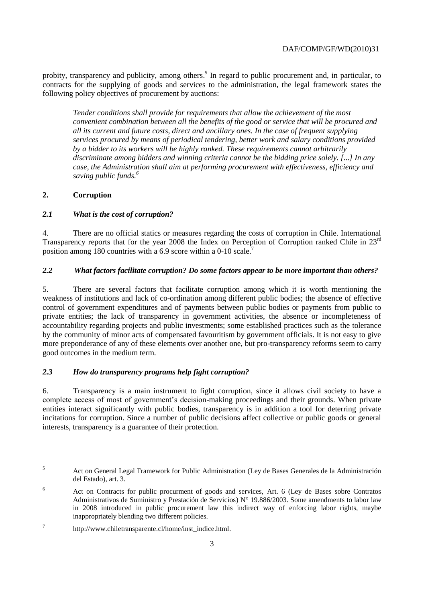probity, transparency and publicity, among others.<sup>5</sup> In regard to public procurement and, in particular, to contracts for the supplying of goods and services to the administration, the legal framework states the following policy objectives of procurement by auctions:

*Tender conditions shall provide for requirements that allow the achievement of the most convenient combination between all the benefits of the good or service that will be procured and all its current and future costs, direct and ancillary ones. In the case of frequent supplying services procured by means of periodical tendering, better work and salary conditions provided by a bidder to its workers will be highly ranked. These requirements cannot arbitrarily discriminate among bidders and winning criteria cannot be the bidding price solely. [...] In any case, the Administration shall aim at performing procurement with effectiveness, efficiency and saving public funds. 6*

# **2. Corruption**

# *2.1 What is the cost of corruption?*

4. There are no official statics or measures regarding the costs of corruption in Chile. International Transparency reports that for the year 2008 the Index on Perception of Corruption ranked Chile in  $23<sup>rd</sup>$ position among 180 countries with a 6.9 score within a 0-10 scale.<sup>7</sup>

# *2.2 What factors facilitate corruption? Do some factors appear to be more important than others?*

5. There are several factors that facilitate corruption among which it is worth mentioning the weakness of institutions and lack of co-ordination among different public bodies; the absence of effective control of government expenditures and of payments between public bodies or payments from public to private entities; the lack of transparency in government activities, the absence or incompleteness of accountability regarding projects and public investments; some established practices such as the tolerance by the community of minor acts of compensated favouritism by government officials. It is not easy to give more preponderance of any of these elements over another one, but pro-transparency reforms seem to carry good outcomes in the medium term.

# *2.3 How do transparency programs help fight corruption?*

6. Transparency is a main instrument to fight corruption, since it allows civil society to have a complete access of most of government"s decision-making proceedings and their grounds. When private entities interact significantly with public bodies, transparency is in addition a tool for deterring private incitations for corruption. Since a number of public decisions affect collective or public goods or general interests, transparency is a guarantee of their protection.

 $\overline{5}$ <sup>5</sup> Act on General Legal Framework for Public Administration (Ley de Bases Generales de la Administración del Estado), art. 3.

<sup>6</sup> Act on Contracts for public procurment of goods and services, Art. 6 (Ley de Bases sobre Contratos Administrativos de Suministro y Prestación de Servicios) N° 19.886/2003. Some amendments to labor law in 2008 introduced in public procurement law this indirect way of enforcing labor rights, maybe inappropriately blending two different policies.

<sup>7</sup> http://www.chiletransparente.cl/home/inst\_indice.html.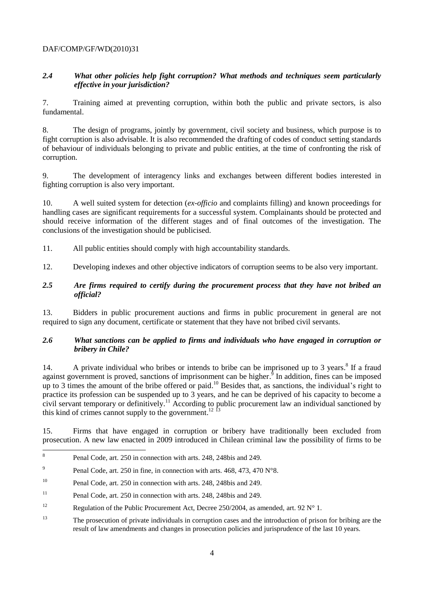# *2.4 What other policies help fight corruption? What methods and techniques seem particularly effective in your jurisdiction?*

7. Training aimed at preventing corruption, within both the public and private sectors, is also fundamental.

8. The design of programs, jointly by government, civil society and business, which purpose is to fight corruption is also advisable. It is also recommended the drafting of codes of conduct setting standards of behaviour of individuals belonging to private and public entities, at the time of confronting the risk of corruption.

9. The development of interagency links and exchanges between different bodies interested in fighting corruption is also very important.

10. A well suited system for detection (*ex-officio* and complaints filling) and known proceedings for handling cases are significant requirements for a successful system. Complainants should be protected and should receive information of the different stages and of final outcomes of the investigation. The conclusions of the investigation should be publicised.

11. All public entities should comply with high accountability standards.

12. Developing indexes and other objective indicators of corruption seems to be also very important.

#### *2.5 Are firms required to certify during the procurement process that they have not bribed an official?*

13. Bidders in public procurement auctions and firms in public procurement in general are not required to sign any document, certificate or statement that they have not bribed civil servants.

# *2.6 What sanctions can be applied to firms and individuals who have engaged in corruption or bribery in Chile?*

14. A private individual who bribes or intends to bribe can be imprisoned up to 3 years.<sup>8</sup> If a fraud against government is proved, sanctions of imprisonment can be higher.<sup>9</sup> In addition, fines can be imposed up to 3 times the amount of the bribe offered or paid.<sup>10</sup> Besides that, as sanctions, the individual's right to practice its profession can be suspended up to 3 years, and he can be deprived of his capacity to become a civil servant temporary or definitively. <sup>11</sup> According to public procurement law an individual sanctioned by this kind of crimes cannot supply to the government.<sup>12 f3</sup>

15. Firms that have engaged in corruption or bribery have traditionally been excluded from prosecution. A new law enacted in 2009 introduced in Chilean criminal law the possibility of firms to be

 8 Penal Code, art. 250 in connection with arts. 248, 248bis and 249.

<sup>9</sup> Penal Code, art. 250 in fine, in connection with arts. 468, 473, 470 N°8.

<sup>&</sup>lt;sup>10</sup> Penal Code, art. 250 in connection with arts. 248, 248bis and 249.

<sup>11</sup> Penal Code, art. 250 in connection with arts. 248, 248bis and 249.

<sup>&</sup>lt;sup>12</sup> Regulation of the Public Procurement Act, Decree 250/2004, as amended, art. 92 N° 1.

<sup>&</sup>lt;sup>13</sup> The prosecution of private individuals in corruption cases and the introduction of prison for bribing are the result of law amendments and changes in prosecution policies and jurisprudence of the last 10 years.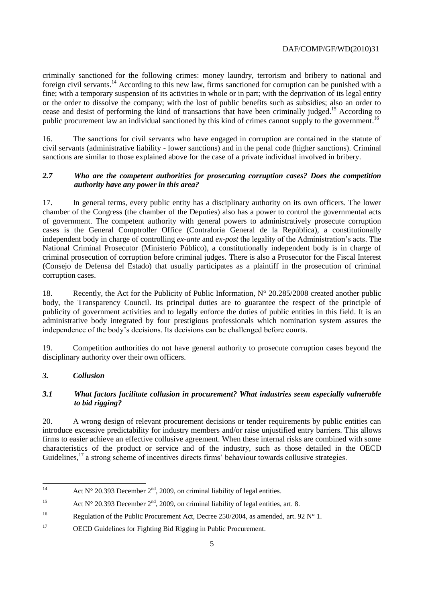criminally sanctioned for the following crimes: money laundry, terrorism and bribery to national and foreign civil servants.<sup>14</sup> According to this new law, firms sanctioned for corruption can be punished with a fine; with a temporary suspension of its activities in whole or in part; with the deprivation of its legal entity or the order to dissolve the company; with the lost of public benefits such as subsidies; also an order to cease and desist of performing the kind of transactions that have been criminally judged. <sup>15</sup> According to public procurement law an individual sanctioned by this kind of crimes cannot supply to the government.<sup>16</sup>

16. The sanctions for civil servants who have engaged in corruption are contained in the statute of civil servants (administrative liability - lower sanctions) and in the penal code (higher sanctions). Criminal sanctions are similar to those explained above for the case of a private individual involved in bribery.

# *2.7 Who are the competent authorities for prosecuting corruption cases? Does the competition authority have any power in this area?*

17. In general terms, every public entity has a disciplinary authority on its own officers. The lower chamber of the Congress (the chamber of the Deputies) also has a power to control the governmental acts of government. The competent authority with general powers to administratively prosecute corruption cases is the General Comptroller Office (Contraloría General de la República), a constitutionally independent body in charge of controlling *ex-ante* and *ex-post* the legality of the Administration"s acts. The National Criminal Prosecutor (Ministerio Público), a constitutionally independent body is in charge of criminal prosecution of corruption before criminal judges. There is also a Prosecutor for the Fiscal Interest (Consejo de Defensa del Estado) that usually participates as a plaintiff in the prosecution of criminal corruption cases.

18. Recently, the Act for the Publicity of Public Information,  $N^{\circ}$  20.285/2008 created another public body, the Transparency Council. Its principal duties are to guarantee the respect of the principle of publicity of government activities and to legally enforce the duties of public entities in this field. It is an administrative body integrated by four prestigious professionals which nomination system assures the independence of the body"s decisions. Its decisions can be challenged before courts.

19. Competition authorities do not have general authority to prosecute corruption cases beyond the disciplinary authority over their own officers.

# *3. Collusion*

# *3.1 What factors facilitate collusion in procurement? What industries seem especially vulnerable to bid rigging?*

20. A wrong design of relevant procurement decisions or tender requirements by public entities can introduce excessive predictability for industry members and/or raise unjustified entry barriers. This allows firms to easier achieve an effective collusive agreement. When these internal risks are combined with some characteristics of the product or service and of the industry, such as those detailed in the OECD Guidelines,<sup>17</sup> a strong scheme of incentives directs firms' behaviour towards collusive strategies.

 $14$ Act  $N^{\circ}$  20.393 December  $2^{\text{nd}}$ , 2009, on criminal liability of legal entities.

<sup>&</sup>lt;sup>15</sup> Act N° 20.393 December  $2<sup>nd</sup>$ , 2009, on criminal liability of legal entities, art. 8.

<sup>&</sup>lt;sup>16</sup> Regulation of the Public Procurement Act, Decree 250/2004, as amended, art. 92 N° 1.

<sup>17</sup> OECD Guidelines for Fighting Bid Rigging in Public Procurement.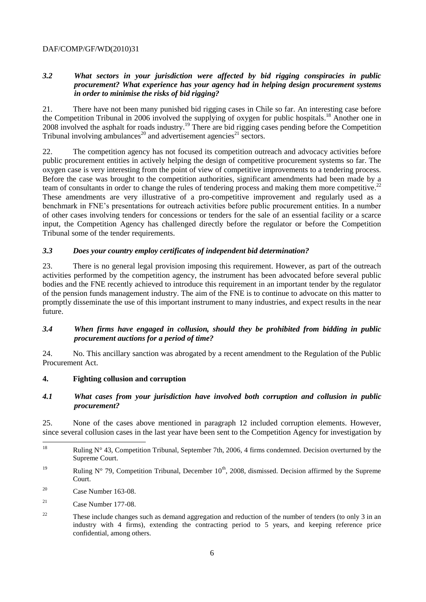# *3.2 What sectors in your jurisdiction were affected by bid rigging conspiracies in public procurement? What experience has your agency had in helping design procurement systems in order to minimise the risks of bid rigging?*

21. There have not been many punished bid rigging cases in Chile so far. An interesting case before the Competition Tribunal in 2006 involved the supplying of oxygen for public hospitals. <sup>18</sup> Another one in 2008 involved the asphalt for roads industry. <sup>19</sup> There are bid rigging cases pending before the Competition Tribunal involving ambulances<sup>20</sup> and advertisement agencies<sup>21</sup> sectors.

22. The competition agency has not focused its competition outreach and advocacy activities before public procurement entities in actively helping the design of competitive procurement systems so far. The oxygen case is very interesting from the point of view of competitive improvements to a tendering process. Before the case was brought to the competition authorities, significant amendments had been made by a team of consultants in order to change the rules of tendering process and making them more competitive.<sup>22</sup> These amendments are very illustrative of a pro-competitive improvement and regularly used as a benchmark in FNE"s presentations for outreach activities before public procurement entities. In a number of other cases involving tenders for concessions or tenders for the sale of an essential facility or a scarce input, the Competition Agency has challenged directly before the regulator or before the Competition Tribunal some of the tender requirements.

#### *3.3 Does your country employ certificates of independent bid determination?*

23. There is no general legal provision imposing this requirement. However, as part of the outreach activities performed by the competition agency, the instrument has been advocated before several public bodies and the FNE recently achieved to introduce this requirement in an important tender by the regulator of the pension funds management industry. The aim of the FNE is to continue to advocate on this matter to promptly disseminate the use of this important instrument to many industries, and expect results in the near future.

# *3.4 When firms have engaged in collusion, should they be prohibited from bidding in public procurement auctions for a period of time?*

24. No. This ancillary sanction was abrogated by a recent amendment to the Regulation of the Public Procurement Act.

#### **4. Fighting collusion and corruption**

# *4.1 What cases from your jurisdiction have involved both corruption and collusion in public procurement?*

25. None of the cases above mentioned in paragraph 12 included corruption elements. However, since several collusion cases in the last year have been sent to the Competition Agency for investigation by

- <sup>19</sup> Ruling N° 79, Competition Tribunal, December  $10^{th}$ , 2008, dismissed. Decision affirmed by the Supreme Court.
- <sup>20</sup> Case Number 163-08.

<sup>18</sup> Ruling  $N^{\circ}$  43, Competition Tribunal, September 7th, 2006, 4 firms condemned. Decision overturned by the Supreme Court.

 $21$  Case Number 177-08.

<sup>&</sup>lt;sup>22</sup> These include changes such as demand aggregation and reduction of the number of tenders (to only 3 in an industry with 4 firms), extending the contracting period to 5 years, and keeping reference price confidential, among others.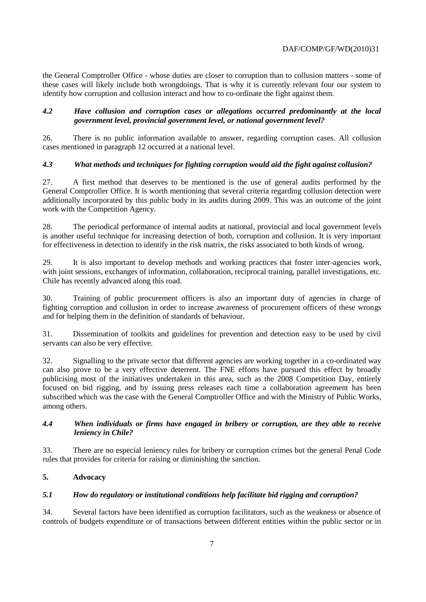the General Comptroller Office - whose duties are closer to corruption than to collusion matters - some of these cases will likely include both wrongdoings. That is why it is currently relevant four our system to identify how corruption and collusion interact and how to co-ordinate the fight against them.

#### *4.2 Have collusion and corruption cases or allegations occurred predominantly at the local government level, provincial government level, or national government level?*

26. There is no public information available to answer, regarding corruption cases. All collusion cases mentioned in paragraph 12 occurred at a national level.

#### *4.3 What methods and techniques for fighting corruption would aid the fight against collusion?*

27. A first method that deserves to be mentioned is the use of general audits performed by the General Comptroller Office. It is worth mentioning that several criteria regarding collusion detection were additionally incorporated by this public body in its audits during 2009. This was an outcome of the joint work with the Competition Agency.

28. The periodical performance of internal audits at national, provincial and local government levels is another useful technique for increasing detection of both, corruption and collusion. It is very important for effectiveness in detection to identify in the risk matrix, the risks associated to both kinds of wrong.

29. It is also important to develop methods and working practices that foster inter-agencies work, with joint sessions, exchanges of information, collaboration, reciprocal training, parallel investigations, etc. Chile has recently advanced along this road.

30. Training of public procurement officers is also an important duty of agencies in charge of fighting corruption and collusion in order to increase awareness of procurement officers of these wrongs and for helping them in the definition of standards of behaviour.

31. Dissemination of toolkits and guidelines for prevention and detection easy to be used by civil servants can also be very effective.

32. Signalling to the private sector that different agencies are working together in a co-ordinated way can also prove to be a very effective deterrent. The FNE efforts have pursued this effect by broadly publicising most of the initiatives undertaken in this area, such as the 2008 Competition Day, entirely focused on bid rigging, and by issuing press releases each time a collaboration agreement has been subscribed which was the case with the General Comptroller Office and with the Ministry of Public Works, among others.

#### *4.4 When individuals or firms have engaged in bribery or corruption, are they able to receive leniency in Chile?*

33. There are no especial leniency rules for bribery or corruption crimes but the general Penal Code rules that provides for criteria for raising or diminishing the sanction.

#### **5. Advocacy**

#### *5.1 How do regulatory or institutional conditions help facilitate bid rigging and corruption?*

34. Several factors have been identified as corruption facilitators, such as the weakness or absence of controls of budgets expenditure or of transactions between different entities within the public sector or in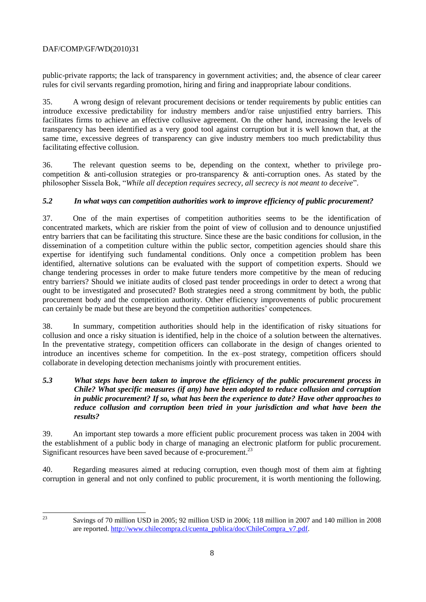public-private rapports; the lack of transparency in government activities; and, the absence of clear career rules for civil servants regarding promotion, hiring and firing and inappropriate labour conditions.

35. A wrong design of relevant procurement decisions or tender requirements by public entities can introduce excessive predictability for industry members and/or raise unjustified entry barriers. This facilitates firms to achieve an effective collusive agreement. On the other hand, increasing the levels of transparency has been identified as a very good tool against corruption but it is well known that, at the same time, excessive degrees of transparency can give industry members too much predictability thus facilitating effective collusion.

36. The relevant question seems to be, depending on the context, whether to privilege procompetition & anti-collusion strategies or pro-transparency & anti-corruption ones. As stated by the philosopher Sissela Bok, "*While all deception requires secrecy, all secrecy is not meant to deceive*".

# *5.2 In what ways can competition authorities work to improve efficiency of public procurement?*

37. One of the main expertises of competition authorities seems to be the identification of concentrated markets, which are riskier from the point of view of collusion and to denounce unjustified entry barriers that can be facilitating this structure. Since these are the basic conditions for collusion, in the dissemination of a competition culture within the public sector, competition agencies should share this expertise for identifying such fundamental conditions. Only once a competition problem has been identified, alternative solutions can be evaluated with the support of competition experts. Should we change tendering processes in order to make future tenders more competitive by the mean of reducing entry barriers? Should we initiate audits of closed past tender proceedings in order to detect a wrong that ought to be investigated and prosecuted? Both strategies need a strong commitment by both, the public procurement body and the competition authority. Other efficiency improvements of public procurement can certainly be made but these are beyond the competition authorities" competences.

38. In summary, competition authorities should help in the identification of risky situations for collusion and once a risky situation is identified, help in the choice of a solution between the alternatives. In the preventative strategy, competition officers can collaborate in the design of changes oriented to introduce an incentives scheme for competition. In the ex–post strategy, competition officers should collaborate in developing detection mechanisms jointly with procurement entities.

# *5.3 What steps have been taken to improve the efficiency of the public procurement process in Chile? What specific measures (if any) have been adopted to reduce collusion and corruption in public procurement? If so, what has been the experience to date? Have other approaches to reduce collusion and corruption been tried in your jurisdiction and what have been the results?*

39. An important step towards a more efficient public procurement process was taken in 2004 with the establishment of a public body in charge of managing an electronic platform for public procurement. Significant resources have been saved because of e-procurement.<sup>23</sup>

40. Regarding measures aimed at reducing corruption, even though most of them aim at fighting corruption in general and not only confined to public procurement, it is worth mentioning the following.

 $23$ 

<sup>23</sup> Savings of 70 million USD in 2005; 92 million USD in 2006; 118 million in 2007 and 140 million in 2008 are reported. [http://www.chilecompra.cl/cuenta\\_publica/doc/ChileCompra\\_v7.pdf.](http://www.chilecompra.cl/cuenta_publica/doc/ChileCompra_v7.pdf)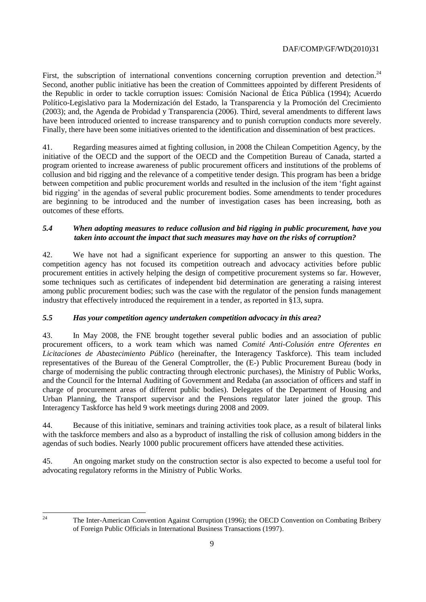First, the subscription of international conventions concerning corruption prevention and detection.<sup>24</sup> Second, another public initiative has been the creation of Committees appointed by different Presidents of the Republic in order to tackle corruption issues: Comisión Nacional de Ética Pública (1994); Acuerdo Político-Legislativo para la Modernización del Estado, la Transparencia y la Promoción del Crecimiento (2003); and, the Agenda de Probidad y Transparencia (2006). Third, several amendments to different laws have been introduced oriented to increase transparency and to punish corruption conducts more severely. Finally, there have been some initiatives oriented to the identification and dissemination of best practices.

41. Regarding measures aimed at fighting collusion, in 2008 the Chilean Competition Agency, by the initiative of the OECD and the support of the OECD and the Competition Bureau of Canada, started a program oriented to increase awareness of public procurement officers and institutions of the problems of collusion and bid rigging and the relevance of a competitive tender design. This program has been a bridge between competition and public procurement worlds and resulted in the inclusion of the item "fight against bid rigging' in the agendas of several public procurement bodies. Some amendments to tender procedures are beginning to be introduced and the number of investigation cases has been increasing, both as outcomes of these efforts.

# *5.4 When adopting measures to reduce collusion and bid rigging in public procurement, have you taken into account the impact that such measures may have on the risks of corruption?*

42. We have not had a significant experience for supporting an answer to this question. The competition agency has not focused its competition outreach and advocacy activities before public procurement entities in actively helping the design of competitive procurement systems so far. However, some techniques such as certificates of independent bid determination are generating a raising interest among public procurement bodies; such was the case with the regulator of the pension funds management industry that effectively introduced the requirement in a tender, as reported in §13, supra.

# *5.5 Has your competition agency undertaken competition advocacy in this area?*

43. In May 2008, the FNE brought together several public bodies and an association of public procurement officers, to a work team which was named *Comité Anti-Colusión entre Oferentes en Licitaciones de Abastecimiento Público* (hereinafter, the Interagency Taskforce). This team included representatives of the Bureau of the General Comptroller, the (E-) Public Procurement Bureau (body in charge of modernising the public contracting through electronic purchases), the Ministry of Public Works, and the Council for the Internal Auditing of Government and Redaba (an association of officers and staff in charge of procurement areas of different public bodies). Delegates of the Department of Housing and Urban Planning, the Transport supervisor and the Pensions regulator later joined the group. This Interagency Taskforce has held 9 work meetings during 2008 and 2009.

44. Because of this initiative, seminars and training activities took place, as a result of bilateral links with the taskforce members and also as a byproduct of installing the risk of collusion among bidders in the agendas of such bodies. Nearly 1000 public procurement officers have attended these activities.

45. An ongoing market study on the construction sector is also expected to become a useful tool for advocating regulatory reforms in the Ministry of Public Works.

 $\overline{24}$ 

<sup>24</sup> The Inter-American Convention Against Corruption (1996); the OECD Convention on Combating Bribery of Foreign Public Officials in International Business Transactions (1997).